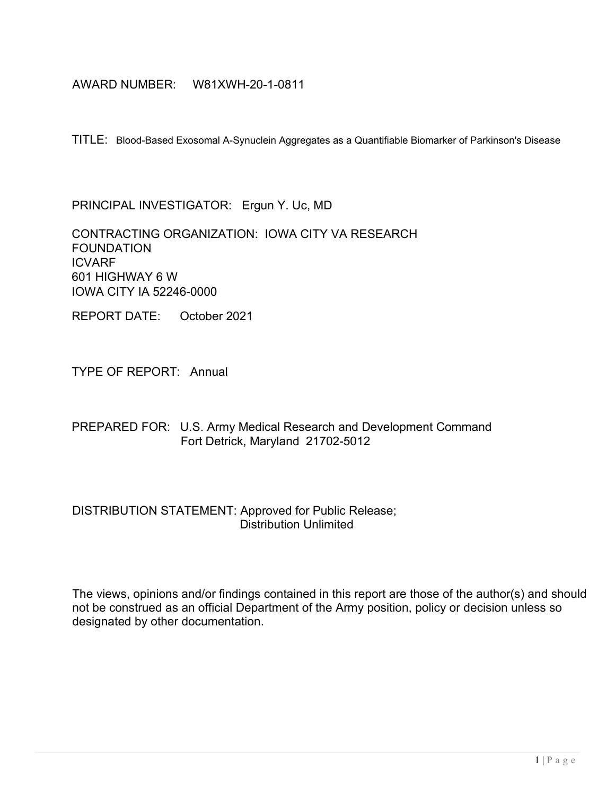# AWARD NUMBER: W81XWH-20-1-0811

TITLE: Blood-Based Exosomal A-Synuclein Aggregates as a Quantifiable Biomarker of Parkinson's Disease

PRINCIPAL INVESTIGATOR: Ergun Y. Uc, MD

CONTRACTING ORGANIZATION: IOWA CITY VA RESEARCH FOUNDATION ICVARF 601 HIGHWAY 6 W IOWA CITY IA 52246-0000

REPORT DATE: October 2021

TYPE OF REPORT: Annual

PREPARED FOR: U.S. Army Medical Research and Development Command Fort Detrick, Maryland 21702-5012

## DISTRIBUTION STATEMENT: Approved for Public Release; Distribution Unlimited

The views, opinions and/or findings contained in this report are those of the author(s) and should not be construed as an official Department of the Army position, policy or decision unless so designated by other documentation.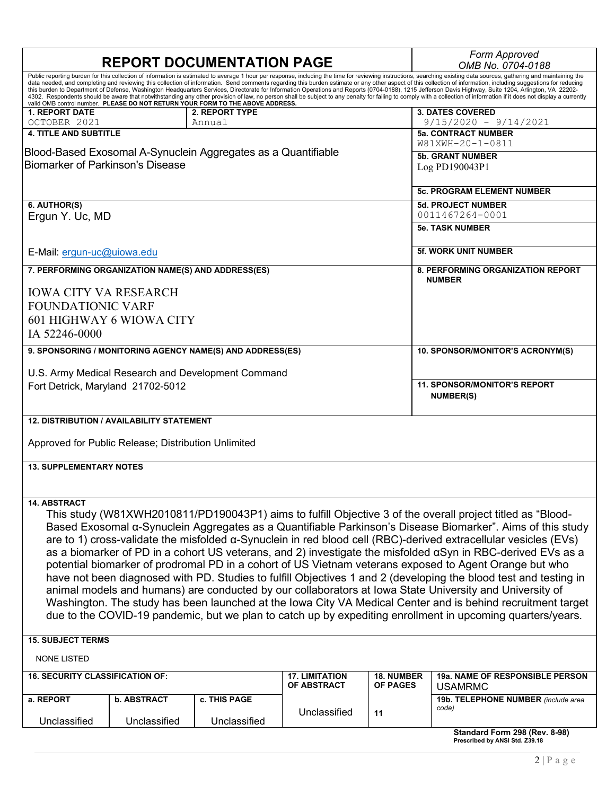| <b>REPORT DOCUMENTATION PAGE</b>                                                                                                                                                                                                                                                                                                                                                                                                                                                                                                                                                                                                                                                                                                                                                                                                                                                                                                                                                                                                                        |                                                     |                                                                                |                                      | Form Approved<br>OMB No. 0704-0188 |                                                                                                                                                                                                                                                                                                                                                                                                                                                                                                                                                                                                                                                                                                                                                                                                                                                                               |  |
|---------------------------------------------------------------------------------------------------------------------------------------------------------------------------------------------------------------------------------------------------------------------------------------------------------------------------------------------------------------------------------------------------------------------------------------------------------------------------------------------------------------------------------------------------------------------------------------------------------------------------------------------------------------------------------------------------------------------------------------------------------------------------------------------------------------------------------------------------------------------------------------------------------------------------------------------------------------------------------------------------------------------------------------------------------|-----------------------------------------------------|--------------------------------------------------------------------------------|--------------------------------------|------------------------------------|-------------------------------------------------------------------------------------------------------------------------------------------------------------------------------------------------------------------------------------------------------------------------------------------------------------------------------------------------------------------------------------------------------------------------------------------------------------------------------------------------------------------------------------------------------------------------------------------------------------------------------------------------------------------------------------------------------------------------------------------------------------------------------------------------------------------------------------------------------------------------------|--|
|                                                                                                                                                                                                                                                                                                                                                                                                                                                                                                                                                                                                                                                                                                                                                                                                                                                                                                                                                                                                                                                         |                                                     | valid OMB control number. PLEASE DO NOT RETURN YOUR FORM TO THE ABOVE ADDRESS. |                                      |                                    | Public reporting burden for this collection of information is estimated to average 1 hour per response, including the time for reviewing instructions, searching existing data sources, gathering and maintaining the<br>data needed, and completing and reviewing this collection of information. Send comments regarding this burden estimate or any other aspect of this collection of information, including suggestions for reducing<br>this burden to Department of Defense, Washington Headquarters Services, Directorate for Information Operations and Reports (0704-0188), 1215 Jefferson Davis Highway, Suite 1204, Arlington, VA 22202-<br>4302. Respondents should be aware that notwithstanding any other provision of law, no person shall be subject to any penalty for failing to comply with a collection of information if it does not display a currently |  |
| <b>1. REPORT DATE</b><br>OCTOBER 2021                                                                                                                                                                                                                                                                                                                                                                                                                                                                                                                                                                                                                                                                                                                                                                                                                                                                                                                                                                                                                   |                                                     | 2. REPORT TYPE<br>Annual                                                       |                                      |                                    | <b>3. DATES COVERED</b><br>$9/15/2020 - 9/14/2021$                                                                                                                                                                                                                                                                                                                                                                                                                                                                                                                                                                                                                                                                                                                                                                                                                            |  |
| <b>4. TITLE AND SUBTITLE</b>                                                                                                                                                                                                                                                                                                                                                                                                                                                                                                                                                                                                                                                                                                                                                                                                                                                                                                                                                                                                                            |                                                     |                                                                                |                                      |                                    | <b>5a. CONTRACT NUMBER</b>                                                                                                                                                                                                                                                                                                                                                                                                                                                                                                                                                                                                                                                                                                                                                                                                                                                    |  |
| Blood-Based Exosomal A-Synuclein Aggregates as a Quantifiable<br>Biomarker of Parkinson's Disease                                                                                                                                                                                                                                                                                                                                                                                                                                                                                                                                                                                                                                                                                                                                                                                                                                                                                                                                                       |                                                     |                                                                                |                                      |                                    | W81XWH-20-1-0811<br><b>5b. GRANT NUMBER</b><br>Log PD190043P1                                                                                                                                                                                                                                                                                                                                                                                                                                                                                                                                                                                                                                                                                                                                                                                                                 |  |
|                                                                                                                                                                                                                                                                                                                                                                                                                                                                                                                                                                                                                                                                                                                                                                                                                                                                                                                                                                                                                                                         |                                                     |                                                                                |                                      |                                    | <b>5c. PROGRAM ELEMENT NUMBER</b>                                                                                                                                                                                                                                                                                                                                                                                                                                                                                                                                                                                                                                                                                                                                                                                                                                             |  |
| 6. AUTHOR(S)<br>Ergun Y. Uc, MD                                                                                                                                                                                                                                                                                                                                                                                                                                                                                                                                                                                                                                                                                                                                                                                                                                                                                                                                                                                                                         |                                                     |                                                                                |                                      |                                    | <b>5d. PROJECT NUMBER</b><br>0011467264-0001                                                                                                                                                                                                                                                                                                                                                                                                                                                                                                                                                                                                                                                                                                                                                                                                                                  |  |
|                                                                                                                                                                                                                                                                                                                                                                                                                                                                                                                                                                                                                                                                                                                                                                                                                                                                                                                                                                                                                                                         |                                                     |                                                                                |                                      |                                    | <b>5e. TASK NUMBER</b>                                                                                                                                                                                                                                                                                                                                                                                                                                                                                                                                                                                                                                                                                                                                                                                                                                                        |  |
| E-Mail: ergun-uc@uiowa.edu                                                                                                                                                                                                                                                                                                                                                                                                                                                                                                                                                                                                                                                                                                                                                                                                                                                                                                                                                                                                                              |                                                     |                                                                                |                                      |                                    | <b>5f. WORK UNIT NUMBER</b>                                                                                                                                                                                                                                                                                                                                                                                                                                                                                                                                                                                                                                                                                                                                                                                                                                                   |  |
|                                                                                                                                                                                                                                                                                                                                                                                                                                                                                                                                                                                                                                                                                                                                                                                                                                                                                                                                                                                                                                                         | 7. PERFORMING ORGANIZATION NAME(S) AND ADDRESS(ES)  |                                                                                |                                      |                                    | 8. PERFORMING ORGANIZATION REPORT<br><b>NUMBER</b>                                                                                                                                                                                                                                                                                                                                                                                                                                                                                                                                                                                                                                                                                                                                                                                                                            |  |
| <b>IOWA CITY VA RESEARCH</b>                                                                                                                                                                                                                                                                                                                                                                                                                                                                                                                                                                                                                                                                                                                                                                                                                                                                                                                                                                                                                            |                                                     |                                                                                |                                      |                                    |                                                                                                                                                                                                                                                                                                                                                                                                                                                                                                                                                                                                                                                                                                                                                                                                                                                                               |  |
| <b>FOUNDATIONIC VARF</b>                                                                                                                                                                                                                                                                                                                                                                                                                                                                                                                                                                                                                                                                                                                                                                                                                                                                                                                                                                                                                                |                                                     |                                                                                |                                      |                                    |                                                                                                                                                                                                                                                                                                                                                                                                                                                                                                                                                                                                                                                                                                                                                                                                                                                                               |  |
|                                                                                                                                                                                                                                                                                                                                                                                                                                                                                                                                                                                                                                                                                                                                                                                                                                                                                                                                                                                                                                                         | 601 HIGHWAY 6 WIOWA CITY                            |                                                                                |                                      |                                    |                                                                                                                                                                                                                                                                                                                                                                                                                                                                                                                                                                                                                                                                                                                                                                                                                                                                               |  |
| IA 52246-0000                                                                                                                                                                                                                                                                                                                                                                                                                                                                                                                                                                                                                                                                                                                                                                                                                                                                                                                                                                                                                                           |                                                     |                                                                                |                                      |                                    |                                                                                                                                                                                                                                                                                                                                                                                                                                                                                                                                                                                                                                                                                                                                                                                                                                                                               |  |
|                                                                                                                                                                                                                                                                                                                                                                                                                                                                                                                                                                                                                                                                                                                                                                                                                                                                                                                                                                                                                                                         |                                                     | 9. SPONSORING / MONITORING AGENCY NAME(S) AND ADDRESS(ES)                      |                                      |                                    | 10. SPONSOR/MONITOR'S ACRONYM(S)                                                                                                                                                                                                                                                                                                                                                                                                                                                                                                                                                                                                                                                                                                                                                                                                                                              |  |
|                                                                                                                                                                                                                                                                                                                                                                                                                                                                                                                                                                                                                                                                                                                                                                                                                                                                                                                                                                                                                                                         |                                                     | U.S. Army Medical Research and Development Command                             |                                      |                                    |                                                                                                                                                                                                                                                                                                                                                                                                                                                                                                                                                                                                                                                                                                                                                                                                                                                                               |  |
| Fort Detrick, Maryland 21702-5012                                                                                                                                                                                                                                                                                                                                                                                                                                                                                                                                                                                                                                                                                                                                                                                                                                                                                                                                                                                                                       |                                                     |                                                                                |                                      |                                    | <b>11. SPONSOR/MONITOR'S REPORT</b><br><b>NUMBER(S)</b>                                                                                                                                                                                                                                                                                                                                                                                                                                                                                                                                                                                                                                                                                                                                                                                                                       |  |
|                                                                                                                                                                                                                                                                                                                                                                                                                                                                                                                                                                                                                                                                                                                                                                                                                                                                                                                                                                                                                                                         | <b>12. DISTRIBUTION / AVAILABILITY STATEMENT</b>    |                                                                                |                                      |                                    |                                                                                                                                                                                                                                                                                                                                                                                                                                                                                                                                                                                                                                                                                                                                                                                                                                                                               |  |
|                                                                                                                                                                                                                                                                                                                                                                                                                                                                                                                                                                                                                                                                                                                                                                                                                                                                                                                                                                                                                                                         | Approved for Public Release; Distribution Unlimited |                                                                                |                                      |                                    |                                                                                                                                                                                                                                                                                                                                                                                                                                                                                                                                                                                                                                                                                                                                                                                                                                                                               |  |
| <b>13. SUPPLEMENTARY NOTES</b>                                                                                                                                                                                                                                                                                                                                                                                                                                                                                                                                                                                                                                                                                                                                                                                                                                                                                                                                                                                                                          |                                                     |                                                                                |                                      |                                    |                                                                                                                                                                                                                                                                                                                                                                                                                                                                                                                                                                                                                                                                                                                                                                                                                                                                               |  |
|                                                                                                                                                                                                                                                                                                                                                                                                                                                                                                                                                                                                                                                                                                                                                                                                                                                                                                                                                                                                                                                         |                                                     |                                                                                |                                      |                                    |                                                                                                                                                                                                                                                                                                                                                                                                                                                                                                                                                                                                                                                                                                                                                                                                                                                                               |  |
| <b>14. ABSTRACT</b><br>This study (W81XWH2010811/PD190043P1) aims to fulfill Objective 3 of the overall project titled as "Blood-<br>Based Exosomal a-Synuclein Aggregates as a Quantifiable Parkinson's Disease Biomarker". Aims of this study<br>are to 1) cross-validate the misfolded α-Synuclein in red blood cell (RBC)-derived extracellular vesicles (EVs)<br>as a biomarker of PD in a cohort US veterans, and 2) investigate the misfolded aSyn in RBC-derived EVs as a<br>potential biomarker of prodromal PD in a cohort of US Vietnam veterans exposed to Agent Orange but who<br>have not been diagnosed with PD. Studies to fulfill Objectives 1 and 2 (developing the blood test and testing in<br>animal models and humans) are conducted by our collaborators at lowa State University and University of<br>Washington. The study has been launched at the Iowa City VA Medical Center and is behind recruitment target<br>due to the COVID-19 pandemic, but we plan to catch up by expediting enrollment in upcoming quarters/years. |                                                     |                                                                                |                                      |                                    |                                                                                                                                                                                                                                                                                                                                                                                                                                                                                                                                                                                                                                                                                                                                                                                                                                                                               |  |
| <b>15. SUBJECT TERMS</b>                                                                                                                                                                                                                                                                                                                                                                                                                                                                                                                                                                                                                                                                                                                                                                                                                                                                                                                                                                                                                                |                                                     |                                                                                |                                      |                                    |                                                                                                                                                                                                                                                                                                                                                                                                                                                                                                                                                                                                                                                                                                                                                                                                                                                                               |  |
| <b>NONE LISTED</b>                                                                                                                                                                                                                                                                                                                                                                                                                                                                                                                                                                                                                                                                                                                                                                                                                                                                                                                                                                                                                                      |                                                     |                                                                                |                                      |                                    |                                                                                                                                                                                                                                                                                                                                                                                                                                                                                                                                                                                                                                                                                                                                                                                                                                                                               |  |
| <b>16. SECURITY CLASSIFICATION OF:</b>                                                                                                                                                                                                                                                                                                                                                                                                                                                                                                                                                                                                                                                                                                                                                                                                                                                                                                                                                                                                                  |                                                     |                                                                                | <b>17. LIMITATION</b><br>OF ABSTRACT | <b>18. NUMBER</b><br>OF PAGES      | <b>19a. NAME OF RESPONSIBLE PERSON</b><br><b>USAMRMC</b>                                                                                                                                                                                                                                                                                                                                                                                                                                                                                                                                                                                                                                                                                                                                                                                                                      |  |
| a. REPORT                                                                                                                                                                                                                                                                                                                                                                                                                                                                                                                                                                                                                                                                                                                                                                                                                                                                                                                                                                                                                                               | <b>b. ABSTRACT</b>                                  | c. THIS PAGE                                                                   |                                      |                                    | 19b. TELEPHONE NUMBER (include area<br>code)                                                                                                                                                                                                                                                                                                                                                                                                                                                                                                                                                                                                                                                                                                                                                                                                                                  |  |
| Unclassified                                                                                                                                                                                                                                                                                                                                                                                                                                                                                                                                                                                                                                                                                                                                                                                                                                                                                                                                                                                                                                            | Unclassified                                        | Unclassified                                                                   | Unclassified                         | 11                                 |                                                                                                                                                                                                                                                                                                                                                                                                                                                                                                                                                                                                                                                                                                                                                                                                                                                                               |  |

| Standard Form 298 (Rev. 8-98)  |  |  |
|--------------------------------|--|--|
| Prescribed by ANSI Std. Z39.18 |  |  |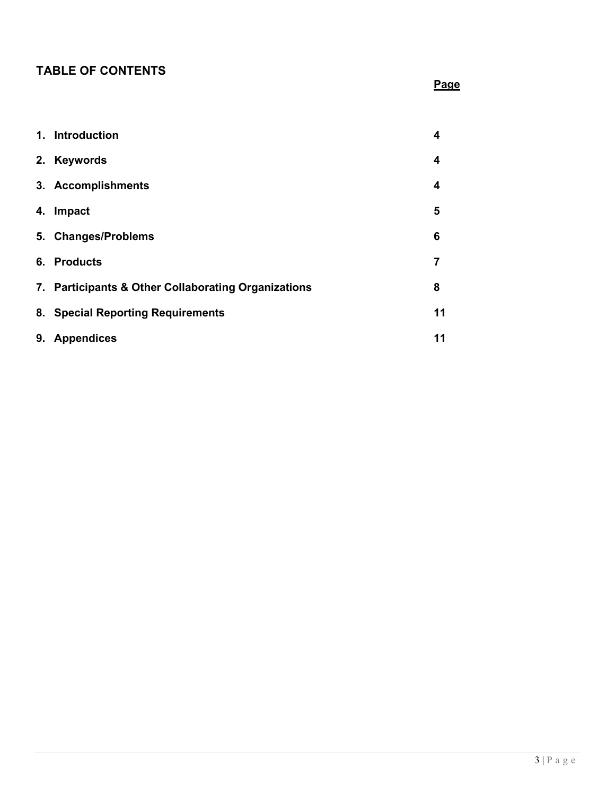# **TABLE OF CONTENTS**

# **Page**

|    | 1. Introduction                                     | 4              |
|----|-----------------------------------------------------|----------------|
| 2. | <b>Keywords</b>                                     | 4              |
|    | 3. Accomplishments                                  | 4              |
| 4. | Impact                                              | 5              |
|    | 5. Changes/Problems                                 | 6              |
|    | 6. Products                                         | $\overline{7}$ |
|    | 7. Participants & Other Collaborating Organizations | 8              |
|    | 8. Special Reporting Requirements                   | 11             |
| 9. | <b>Appendices</b>                                   | 11             |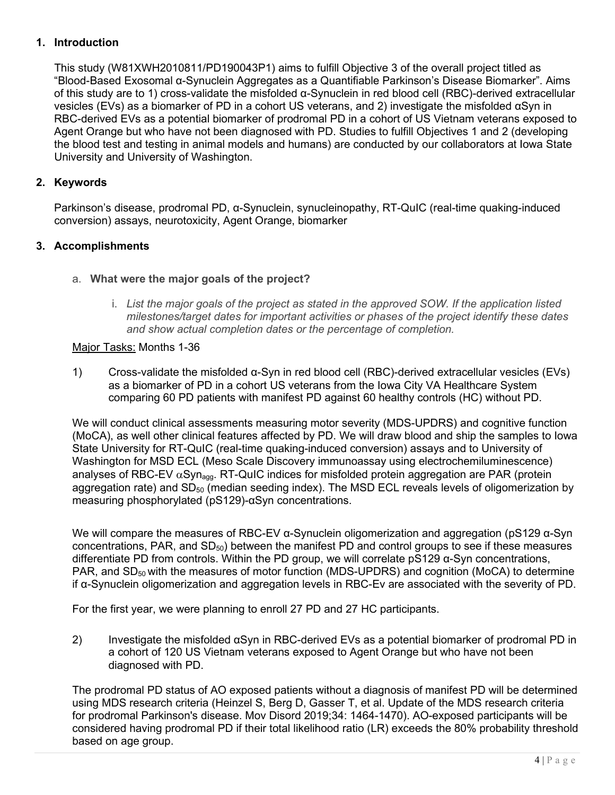## **1. Introduction**

This study (W81XWH2010811/PD190043P1) aims to fulfill Objective 3 of the overall project titled as "Blood-Based Exosomal α-Synuclein Aggregates as a Quantifiable Parkinson's Disease Biomarker". Aims of this study are to 1) cross-validate the misfolded α-Synuclein in red blood cell (RBC)-derived extracellular vesicles (EVs) as a biomarker of PD in a cohort US veterans, and 2) investigate the misfolded αSyn in RBC-derived EVs as a potential biomarker of prodromal PD in a cohort of US Vietnam veterans exposed to Agent Orange but who have not been diagnosed with PD. Studies to fulfill Objectives 1 and 2 (developing the blood test and testing in animal models and humans) are conducted by our collaborators at Iowa State University and University of Washington.

# **2. Keywords**

Parkinson's disease, prodromal PD, α-Synuclein, synucleinopathy, RT-QuIC (real-time quaking-induced conversion) assays, neurotoxicity, Agent Orange, biomarker

# **3. Accomplishments**

- a. **What were the major goals of the project?**
	- i. *List the major goals of the project as stated in the approved SOW. If the application listed milestones/target dates for important activities or phases of the project identify these dates and show actual completion dates or the percentage of completion.*

#### Major Tasks: Months 1-36

1) Cross-validate the misfolded α-Syn in red blood cell (RBC)-derived extracellular vesicles (EVs) as a biomarker of PD in a cohort US veterans from the Iowa City VA Healthcare System comparing 60 PD patients with manifest PD against 60 healthy controls (HC) without PD.

We will conduct clinical assessments measuring motor severity (MDS-UPDRS) and cognitive function (MoCA), as well other clinical features affected by PD. We will draw blood and ship the samples to Iowa State University for RT-QuIC (real-time quaking-induced conversion) assays and to University of Washington for MSD ECL (Meso Scale Discovery immunoassay using electrochemiluminescence) analyses of RBC-EV  $\alpha$ Syn<sub>agg</sub>. RT-QuIC indices for misfolded protein aggregation are PAR (protein aggregation rate) and SD<sub>50</sub> (median seeding index). The MSD ECL reveals levels of oligomerization by measuring phosphorylated (pS129)-αSyn concentrations.

We will compare the measures of RBC-EV α-Synuclein oligomerization and aggregation (pS129 α-Syn concentrations, PAR, and  $SD_{50}$ ) between the manifest PD and control groups to see if these measures differentiate PD from controls. Within the PD group, we will correlate pS129 α-Syn concentrations, PAR, and  $SD<sub>50</sub>$  with the measures of motor function (MDS-UPDRS) and cognition (MoCA) to determine if α-Synuclein oligomerization and aggregation levels in RBC-Ev are associated with the severity of PD.

For the first year, we were planning to enroll 27 PD and 27 HC participants.

2) Investigate the misfolded αSyn in RBC-derived EVs as a potential biomarker of prodromal PD in a cohort of 120 US Vietnam veterans exposed to Agent Orange but who have not been diagnosed with PD.

The prodromal PD status of AO exposed patients without a diagnosis of manifest PD will be determined using MDS research criteria (Heinzel S, Berg D, Gasser T, et al. Update of the MDS research criteria for prodromal Parkinson's disease. Mov Disord 2019;34: 1464-1470). AO-exposed participants will be considered having prodromal PD if their total likelihood ratio (LR) exceeds the 80% probability threshold based on age group.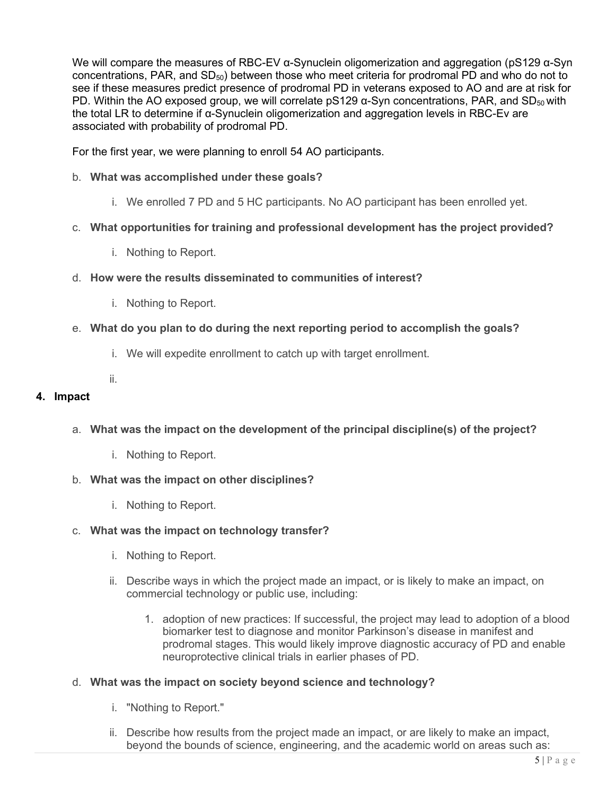We will compare the measures of RBC-EV α-Synuclein oligomerization and aggregation (pS129 α-Syn concentrations, PAR, and SD<sub>50</sub>) between those who meet criteria for prodromal PD and who do not to see if these measures predict presence of prodromal PD in veterans exposed to AO and are at risk for PD. Within the AO exposed group, we will correlate  $pS129$   $\alpha$ -Syn concentrations, PAR, and SD<sub>50</sub> with the total LR to determine if α-Synuclein oligomerization and aggregation levels in RBC-Ev are associated with probability of prodromal PD.

For the first year, we were planning to enroll 54 AO participants.

- b. **What was accomplished under these goals?**
	- i. We enrolled 7 PD and 5 HC participants. No AO participant has been enrolled yet.

## c. **What opportunities for training and professional development has the project provided?**

- i. Nothing to Report.
- d. **How were the results disseminated to communities of interest?**
	- i. Nothing to Report.
- e. **What do you plan to do during the next reporting period to accomplish the goals?**
	- i. We will expedite enrollment to catch up with target enrollment.
	- ii.

## **4. Impact**

- a. **What was the impact on the development of the principal discipline(s) of the project?**
	- i. Nothing to Report.
- b. **What was the impact on other disciplines?**
	- i. Nothing to Report.

#### c. **What was the impact on technology transfer?**

- i. Nothing to Report.
- ii. Describe ways in which the project made an impact, or is likely to make an impact, on commercial technology or public use, including:
	- 1. adoption of new practices: If successful, the project may lead to adoption of a blood biomarker test to diagnose and monitor Parkinson's disease in manifest and prodromal stages. This would likely improve diagnostic accuracy of PD and enable neuroprotective clinical trials in earlier phases of PD.

#### d. **What was the impact on society beyond science and technology?**

- i. "Nothing to Report."
- ii. Describe how results from the project made an impact, or are likely to make an impact, beyond the bounds of science, engineering, and the academic world on areas such as: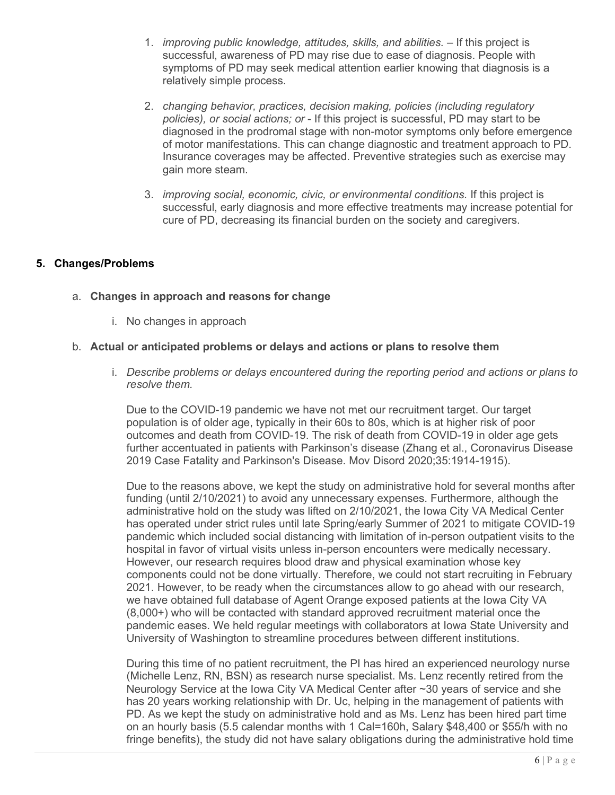- 1. *improving public knowledge, attitudes, skills, and abilities.* If this project is successful, awareness of PD may rise due to ease of diagnosis. People with symptoms of PD may seek medical attention earlier knowing that diagnosis is a relatively simple process.
- 2. *changing behavior, practices, decision making, policies (including regulatory policies), or social actions; or* - If this project is successful, PD may start to be diagnosed in the prodromal stage with non-motor symptoms only before emergence of motor manifestations. This can change diagnostic and treatment approach to PD. Insurance coverages may be affected. Preventive strategies such as exercise may gain more steam.
- 3. *improving social, economic, civic, or environmental conditions.* If this project is successful, early diagnosis and more effective treatments may increase potential for cure of PD, decreasing its financial burden on the society and caregivers.

## **5. Changes/Problems**

#### a. **Changes in approach and reasons for change**

i. No changes in approach

## b. **Actual or anticipated problems or delays and actions or plans to resolve them**

i. *Describe problems or delays encountered during the reporting period and actions or plans to resolve them.*

Due to the COVID-19 pandemic we have not met our recruitment target. Our target population is of older age, typically in their 60s to 80s, which is at higher risk of poor outcomes and death from COVID-19. The risk of death from COVID-19 in older age gets further accentuated in patients with Parkinson's disease (Zhang et al., Coronavirus Disease 2019 Case Fatality and Parkinson's Disease. Mov Disord 2020;35:1914-1915).

Due to the reasons above, we kept the study on administrative hold for several months after funding (until 2/10/2021) to avoid any unnecessary expenses. Furthermore, although the administrative hold on the study was lifted on 2/10/2021, the Iowa City VA Medical Center has operated under strict rules until late Spring/early Summer of 2021 to mitigate COVID-19 pandemic which included social distancing with limitation of in-person outpatient visits to the hospital in favor of virtual visits unless in-person encounters were medically necessary. However, our research requires blood draw and physical examination whose key components could not be done virtually. Therefore, we could not start recruiting in February 2021. However, to be ready when the circumstances allow to go ahead with our research, we have obtained full database of Agent Orange exposed patients at the Iowa City VA (8,000+) who will be contacted with standard approved recruitment material once the pandemic eases. We held regular meetings with collaborators at Iowa State University and University of Washington to streamline procedures between different institutions.

During this time of no patient recruitment, the PI has hired an experienced neurology nurse (Michelle Lenz, RN, BSN) as research nurse specialist. Ms. Lenz recently retired from the Neurology Service at the Iowa City VA Medical Center after ~30 years of service and she has 20 years working relationship with Dr. Uc, helping in the management of patients with PD. As we kept the study on administrative hold and as Ms. Lenz has been hired part time on an hourly basis (5.5 calendar months with 1 Cal=160h, Salary \$48,400 or \$55/h with no fringe benefits), the study did not have salary obligations during the administrative hold time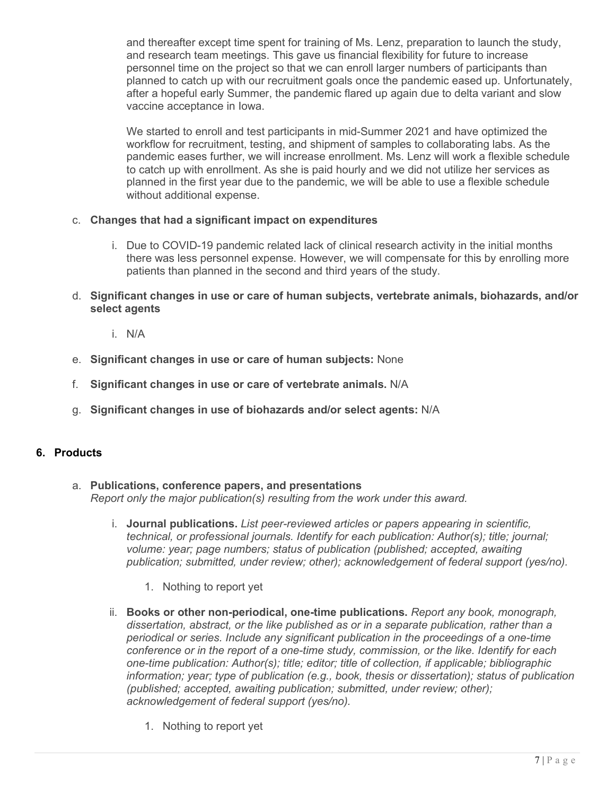and thereafter except time spent for training of Ms. Lenz, preparation to launch the study, and research team meetings. This gave us financial flexibility for future to increase personnel time on the project so that we can enroll larger numbers of participants than planned to catch up with our recruitment goals once the pandemic eased up. Unfortunately, after a hopeful early Summer, the pandemic flared up again due to delta variant and slow vaccine acceptance in Iowa.

We started to enroll and test participants in mid-Summer 2021 and have optimized the workflow for recruitment, testing, and shipment of samples to collaborating labs. As the pandemic eases further, we will increase enrollment. Ms. Lenz will work a flexible schedule to catch up with enrollment. As she is paid hourly and we did not utilize her services as planned in the first year due to the pandemic, we will be able to use a flexible schedule without additional expense.

- c. **Changes that had a significant impact on expenditures**
	- i. Due to COVID-19 pandemic related lack of clinical research activity in the initial months there was less personnel expense*.* However, we will compensate for this by enrolling more patients than planned in the second and third years of the study.
- d. **Significant changes in use or care of human subjects, vertebrate animals, biohazards, and/or select agents**
	- i. N/A
- e. **Significant changes in use or care of human subjects:** None
- f. **Significant changes in use or care of vertebrate animals.** N/A
- g. **Significant changes in use of biohazards and/or select agents:** N/A

# **6. Products**

- a. **Publications, conference papers, and presentations** *Report only the major publication(s) resulting from the work under this award.*
	- i. **Journal publications.** *List peer-reviewed articles or papers appearing in scientific, technical, or professional journals. Identify for each publication: Author(s); title; journal; volume: year; page numbers; status of publication (published; accepted, awaiting publication; submitted, under review; other); acknowledgement of federal support (yes/no).*
		- 1. Nothing to report yet
	- ii. **Books or other non-periodical, one-time publications.** *Report any book, monograph, dissertation, abstract, or the like published as or in a separate publication, rather than a periodical or series. Include any significant publication in the proceedings of a one-time conference or in the report of a one-time study, commission, or the like. Identify for each one-time publication: Author(s); title; editor; title of collection, if applicable; bibliographic information; year; type of publication (e.g., book, thesis or dissertation); status of publication (published; accepted, awaiting publication; submitted, under review; other); acknowledgement of federal support (yes/no).*
		- 1. Nothing to report yet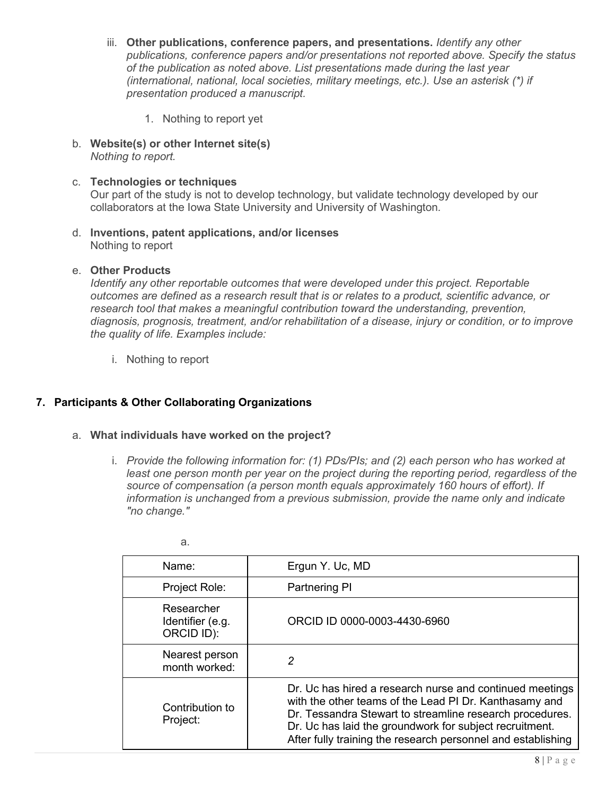- iii. **Other publications, conference papers, and presentations.** *Identify any other publications, conference papers and/or presentations not reported above. Specify the status of the publication as noted above. List presentations made during the last year (international, national, local societies, military meetings, etc.). Use an asterisk (\*) if presentation produced a manuscript.*
	- 1. Nothing to report yet
- b. **Website(s) or other Internet site(s)** *Nothing to report.*
- c. **Technologies or techniques** Our part of the study is not to develop technology, but validate technology developed by our collaborators at the Iowa State University and University of Washington*.*
- d. **Inventions, patent applications, and/or licenses** Nothing to report

## e. **Other Products**

*Identify any other reportable outcomes that were developed under this project. Reportable outcomes are defined as a research result that is or relates to a product, scientific advance, or research tool that makes a meaningful contribution toward the understanding, prevention, diagnosis, prognosis, treatment, and/or rehabilitation of a disease, injury or condition, or to improve the quality of life. Examples include:*

i. Nothing to report

# **7. Participants & Other Collaborating Organizations**

#### a. **What individuals have worked on the project?**

i. *Provide the following information for: (1) PDs/PIs; and (2) each person who has worked at least one person month per year on the project during the reporting period, regardless of the source of compensation (a person month equals approximately 160 hours of effort). If information is unchanged from a previous submission, provide the name only and indicate "no change."*

| Name:                                        | Ergun Y. Uc, MD                                                                                                                                                                                                                                                                                           |
|----------------------------------------------|-----------------------------------------------------------------------------------------------------------------------------------------------------------------------------------------------------------------------------------------------------------------------------------------------------------|
| Project Role:                                | <b>Partnering PI</b>                                                                                                                                                                                                                                                                                      |
| Researcher<br>Identifier (e.g.<br>ORCID ID): | ORCID ID 0000-0003-4430-6960                                                                                                                                                                                                                                                                              |
| Nearest person<br>month worked:              | 2                                                                                                                                                                                                                                                                                                         |
| Contribution to<br>Project:                  | Dr. Uc has hired a research nurse and continued meetings<br>with the other teams of the Lead PI Dr. Kanthasamy and<br>Dr. Tessandra Stewart to streamline research procedures.<br>Dr. Uc has laid the groundwork for subject recruitment.<br>After fully training the research personnel and establishing |

a.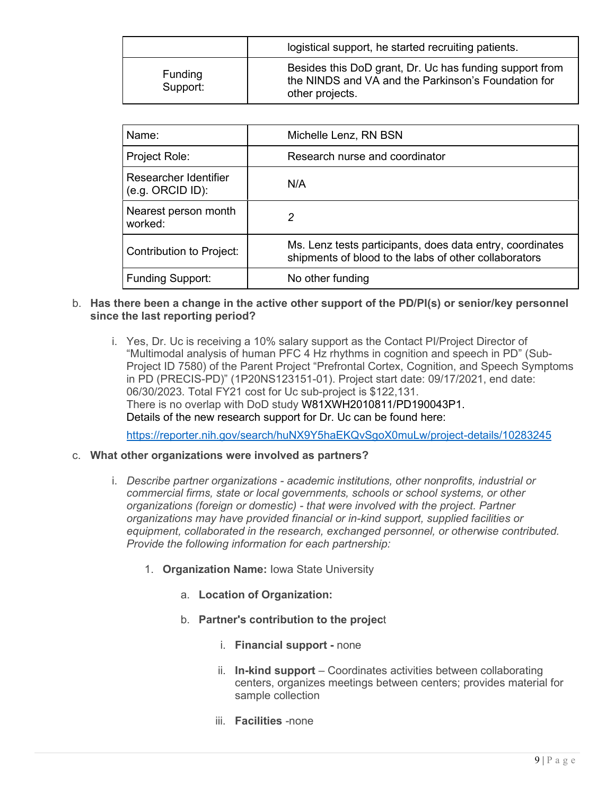|                            | logistical support, he started recruiting patients.                                                                               |
|----------------------------|-----------------------------------------------------------------------------------------------------------------------------------|
| <b>Funding</b><br>Support: | Besides this DoD grant, Dr. Uc has funding support from<br>the NINDS and VA and the Parkinson's Foundation for<br>other projects. |

| Name:                                        | Michelle Lenz, RN BSN                                                                                              |
|----------------------------------------------|--------------------------------------------------------------------------------------------------------------------|
| Project Role:                                | Research nurse and coordinator                                                                                     |
| Researcher Identifier<br>$(e.g. ORCID ID)$ : | N/A                                                                                                                |
| Nearest person month<br>worked:              | 2                                                                                                                  |
| Contribution to Project:                     | Ms. Lenz tests participants, does data entry, coordinates<br>shipments of blood to the labs of other collaborators |
| <b>Funding Support:</b>                      | No other funding                                                                                                   |

#### b. **Has there been a change in the active other support of the PD/PI(s) or senior/key personnel since the last reporting period?**

i. Yes, Dr. Uc is receiving a 10% salary support as the Contact PI/Project Director of "Multimodal analysis of human PFC 4 Hz rhythms in cognition and speech in PD" (Sub-Project ID 7580) of the Parent Project "Prefrontal Cortex, Cognition, and Speech Symptoms in PD (PRECIS-PD)" (1P20NS123151-01). Project start date: 09/17/2021, end date: 06/30/2023. Total FY21 cost for Uc sub-project is \$122,131. There is no overlap with DoD study W81XWH2010811/PD190043P1. Details of the new research support for Dr. Uc can be found here:

<https://reporter.nih.gov/search/huNX9Y5haEKQvSgoX0muLw/project-details/10283245>

#### c. **What other organizations were involved as partners?**

- i. *Describe partner organizations academic institutions, other nonprofits, industrial or commercial firms, state or local governments, schools or school systems, or other organizations (foreign or domestic) - that were involved with the project. Partner organizations may have provided financial or in-kind support, supplied facilities or equipment, collaborated in the research, exchanged personnel, or otherwise contributed. Provide the following information for each partnership:*
	- 1. **Organization Name:** Iowa State University
		- a. **Location of Organization:**
		- b. **Partner's contribution to the projec**t
			- i. **Financial support** none
			- ii. **In-kind support** Coordinates activities between collaborating centers, organizes meetings between centers; provides material for sample collection
			- iii. **Facilities** *-*none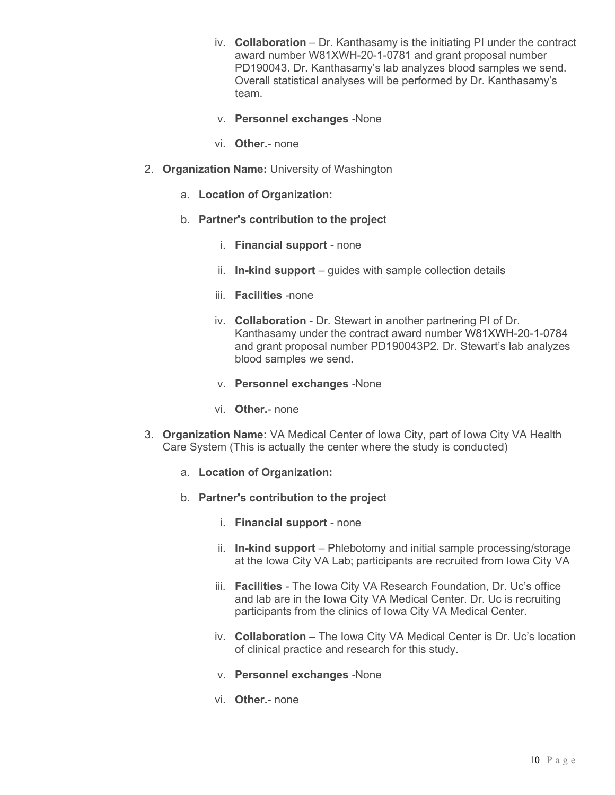- iv. **Collaboration** Dr. Kanthasamy is the initiating PI under the contract award number W81XWH-20-1-0781 and grant proposal number PD190043. Dr. Kanthasamy's lab analyzes blood samples we send. Overall statistical analyses will be performed by Dr. Kanthasamy's team.
- v. **Personnel exchanges** *-*None
- vi. **Other.** none
- 2. **Organization Name:** University of Washington
	- a. **Location of Organization:**
	- b. **Partner's contribution to the projec**t
		- i. **Financial support** none
		- ii. **In-kind support** guides with sample collection details
		- iii. **Facilities** *-*none
		- iv. **Collaboration** Dr. Stewart in another partnering PI of Dr. Kanthasamy under the contract award number W81XWH-20-1-0784 and grant proposal number PD190043P2. Dr. Stewart's lab analyzes blood samples we send.
		- v. **Personnel exchanges** *-*None
		- vi. **Other.** none
- 3. **Organization Name:** VA Medical Center of Iowa City, part of Iowa City VA Health Care System (This is actually the center where the study is conducted)
	- a. **Location of Organization:**
	- b. **Partner's contribution to the projec**t
		- i. **Financial support** none
		- ii. **In-kind support** Phlebotomy and initial sample processing/storage at the Iowa City VA Lab; participants are recruited from Iowa City VA
		- iii. **Facilities** *-* The Iowa City VA Research Foundation, Dr. Uc's office and lab are in the Iowa City VA Medical Center. Dr. Uc is recruiting participants from the clinics of Iowa City VA Medical Center.
		- iv. **Collaboration** The Iowa City VA Medical Center is Dr. Uc's location of clinical practice and research for this study.
		- v. **Personnel exchanges** *-*None
		- vi. **Other.** none